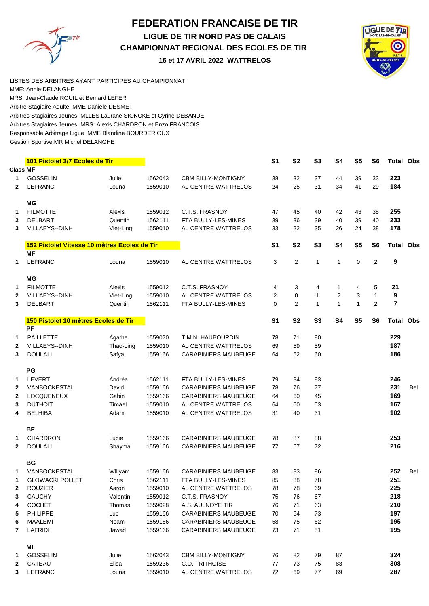## **FEDERATION FRANCAISE DE TIR LIGUE DE TIR NORD PAS DE CALAIS CHAMPIONNAT REGIONAL DES ECOLES DE TIR 16 et 17 AVRIL 2022 WATTRELOS**



LISTES DES ARBITRES AYANT PARTICIPES AU CHAMPIONNAT MME: Annie DELANGHE Arbitres Stagiaires Jeunes: MLLES Laurane SIONCKE et Cyrine DEBANDE Arbitres Stagiaires Jeunes: MRS: Alexis CHARDRON et Enzo FRANCOIS Responsable Arbitrage Ligue: MME Blandine BOURDERIOUX Gestion Sportive:MR Michel DELANGHE Arbitre Stagiaire Adulte: MME Daniele DESMET MRS: Jean-Claude ROUIL et Bernard LEFER

|                 | 101 Pistolet 3/7 Ecoles de Tir               |           |         |                             | S <sub>1</sub> | <b>S2</b>      | S <sub>3</sub> | <b>S4</b>      | S <sub>5</sub> | S <sub>6</sub>   | <b>Total Obs</b> |     |
|-----------------|----------------------------------------------|-----------|---------|-----------------------------|----------------|----------------|----------------|----------------|----------------|------------------|------------------|-----|
| <b>Class MF</b> |                                              |           |         |                             |                |                |                |                |                |                  |                  |     |
| 1               | <b>GOSSELIN</b>                              | Julie     | 1562043 | <b>CBM BILLY-MONTIGNY</b>   | 38             | 32             | 37             | 44             | 39             | 33               | 223              |     |
| $\mathbf{2}$    | <b>LEFRANC</b>                               | Louna     | 1559010 | AL CENTRE WATTRELOS         | 24             | 25             | 31             | 34             | 41             | 29               | 184              |     |
|                 | <b>MG</b>                                    |           |         |                             |                |                |                |                |                |                  |                  |     |
| 1               | <b>FILMOTTE</b>                              | Alexis    | 1559012 | C.T.S. FRASNOY              | 47             | 45             | 40             | 42             | 43             | 38               | 255              |     |
| 2               | <b>DELBART</b>                               | Quentin   | 1562111 | FTA BULLY-LES-MINES         | 39             | 36             | 39             | 40             | 39             | 40               | 233              |     |
| 3               | VILLAEYS--DINH                               | Viet-Ling | 1559010 | AL CENTRE WATTRELOS         | 33             | 22             | 35             | 26             | 24             | 38               | 178              |     |
|                 | 152 Pistolet Vitesse 10 mètres Ecoles de Tir |           |         |                             | S <sub>1</sub> | S <sub>2</sub> | S <sub>3</sub> | <b>S4</b>      | S <sub>5</sub> | S <sub>6</sub>   | <b>Total Obs</b> |     |
|                 | <b>MF</b>                                    |           |         |                             |                |                |                |                |                |                  |                  |     |
| $\mathbf 1$     | <b>LEFRANC</b>                               | Louna     | 1559010 | AL CENTRE WATTRELOS         | 3              | $\overline{2}$ | $\mathbf{1}$   | 1              | $\mathbf 0$    | $\boldsymbol{2}$ | 9                |     |
|                 | <b>MG</b>                                    |           |         |                             |                |                |                |                |                |                  |                  |     |
| 1               | <b>FILMOTTE</b>                              | Alexis    | 1559012 | C.T.S. FRASNOY              | 4              | 3              | 4              | 1              | 4              | 5                | 21               |     |
| 2               | VILLAEYS--DINH                               | Viet-Ling | 1559010 | AL CENTRE WATTRELOS         | 2              | $\pmb{0}$      | $\mathbf{1}$   | $\overline{2}$ | 3              | $\mathbf{1}$     | 9                |     |
| 3               | <b>DELBART</b>                               | Quentin   | 1562111 | FTA BULLY-LES-MINES         | 0              | $\overline{2}$ | $\mathbf{1}$   | $\mathbf{1}$   | $\mathbf{1}$   | 2                | 7                |     |
|                 | 150 Pistolet 10 mètres Ecoles de Tir         |           |         |                             | S <sub>1</sub> | S <sub>2</sub> | S <sub>3</sub> | <b>S4</b>      | S <sub>5</sub> | S6               | <b>Total Obs</b> |     |
|                 | PF                                           |           |         |                             |                |                |                |                |                |                  |                  |     |
| 1               | <b>PAILLETTE</b>                             | Agathe    | 1559070 | T.M.N. HAUBOURDIN           | 78             | 71             | 80             |                |                |                  | 229              |     |
| 2               | VILLAEYS--DINH                               | Thao-Ling | 1559010 | AL CENTRE WATTRELOS         | 69             | 59             | 59             |                |                |                  | 187              |     |
| 3               | <b>DOULALI</b>                               | Safya     | 1559166 | <b>CARABINIERS MAUBEUGE</b> | 64             | 62             | 60             |                |                |                  | 186              |     |
|                 | PG                                           |           |         |                             |                |                |                |                |                |                  |                  |     |
| 1               | LEVERT                                       | Andréa    | 1562111 | FTA BULLY-LES-MINES         | 79             | 84             | 83             |                |                |                  | 246              |     |
| 2               | VANBOCKESTAL                                 | David     | 1559166 | <b>CARABINIERS MAUBEUGE</b> | 78             | 76             | 77             |                |                |                  | 231              | Bel |
| $\mathbf{2}$    | <b>LOCQUENEUX</b>                            | Gabin     | 1559166 | <b>CARABINIERS MAUBEUGE</b> | 64             | 60             | 45             |                |                |                  | 169              |     |
| 3               | <b>DUTHOIT</b>                               | Timael    | 1559010 | AL CENTRE WATTRELOS         | 64             | 50             | 53             |                |                |                  | 167              |     |
| 4               | <b>BELHIBA</b>                               | Adam      | 1559010 | AL CENTRE WATTRELOS         | 31             | 40             | 31             |                |                |                  | 102              |     |
|                 | <b>BF</b>                                    |           |         |                             |                |                |                |                |                |                  |                  |     |
| 1               | <b>CHARDRON</b>                              | Lucie     | 1559166 | <b>CARABINIERS MAUBEUGE</b> | 78             | 87             | 88             |                |                |                  | 253              |     |
| $\mathbf{2}$    | <b>DOULALI</b>                               | Shayma    | 1559166 | <b>CARABINIERS MAUBEUGE</b> | 77             | 67             | 72             |                |                |                  | 216              |     |
|                 | <b>BG</b>                                    |           |         |                             |                |                |                |                |                |                  |                  |     |
| 1.              | VANBOCKESTAL                                 | Willyam   | 1559166 | <b>CARABINIERS MAUBEUGE</b> | 83             | 83             | 86             |                |                |                  | 252              | Bel |
| 1               | <b>GLOWACKI POLLET</b>                       | Chris     | 1562111 | FTA BULLY-LES-MINES         | 85             | 88             | 78             |                |                |                  | 251              |     |
| 2               | <b>ROUZIER</b>                               |           | 1559010 | AL CENTRE WATTRELOS         | 78             | 78             | 69             |                |                |                  | 225              |     |
|                 |                                              | Aaron     |         |                             |                |                |                |                |                |                  | 218              |     |
| 3               | CAUCHY                                       | Valentin  | 1559012 | C.T.S. FRASNOY              | 75             | 76             | 67             |                |                |                  |                  |     |
| 4               | <b>COCHET</b>                                | Thomas    | 1559028 | A.S. AULNOYE TIR            | 76             | 71             | 63             |                |                |                  | 210              |     |
| 5               | PHILIPPE                                     | Luc       | 1559166 | <b>CARABINIERS MAUBEUGE</b> | 70             | 54             | 73             |                |                |                  | 197              |     |
| 6               | MAALEMI                                      | Noam      | 1559166 | <b>CARABINIERS MAUBEUGE</b> | 58             | 75             | 62             |                |                |                  | 195              |     |
| 7               | LAFRIDI                                      | Jawad     | 1559166 | <b>CARABINIERS MAUBEUGE</b> | 73             | 71             | 51             |                |                |                  | 195              |     |
|                 | MF                                           |           |         |                             |                |                |                |                |                |                  |                  |     |
| 1               | GOSSELIN                                     | Julie     | 1562043 | <b>CBM BILLY-MONTIGNY</b>   | 76             | 82             | 79             | 87             |                |                  | 324              |     |
| 2               | CATEAU                                       | Elisa     | 1559236 | C.O. TRITHOISE              | 77             | 73             | 75             | 83             |                |                  | 308              |     |
| 3               | LEFRANC                                      | Louna     | 1559010 | AL CENTRE WATTRELOS         | 72             | 69             | 77             | 69             |                |                  | 287              |     |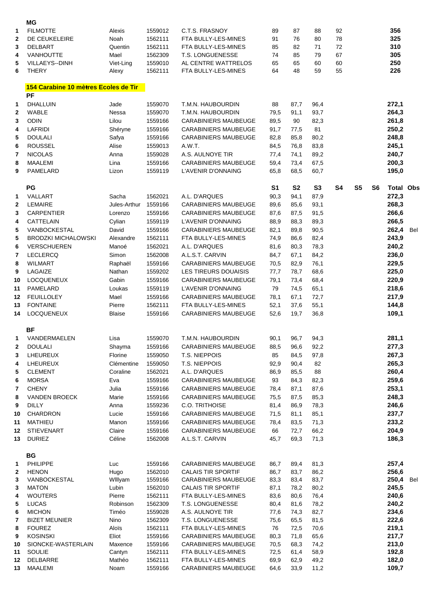|                | МG                                   |                   |                    |                                                          |                |                |                |                |                |    |                  |     |
|----------------|--------------------------------------|-------------------|--------------------|----------------------------------------------------------|----------------|----------------|----------------|----------------|----------------|----|------------------|-----|
| 1              | <b>FILMOTTE</b>                      | Alexis            | 1559012            | C.T.S. FRASNOY                                           | 89             | 87             | 88             | 92             |                |    | 356              |     |
| $\mathbf{2}$   | DE CEUKELEIRE                        | Noah              | 1562111            | FTA BULLY-LES-MINES                                      | 91             | 76             | 80             | 78             |                |    | 325              |     |
| 3              | <b>DELBART</b>                       | Quentin           | 1562111            | FTA BULLY-LES-MINES                                      | 85             | 82             | 71             | 72             |                |    | 310              |     |
| 4              | <b>VANHOUTTE</b>                     | Mael              | 1562309            | <b>T.S. LONGUENESSE</b>                                  | 74             | 85             | 79             | 67             |                |    | 305              |     |
| 5              | VILLAEYS--DINH                       | Viet-Ling         | 1559010            | AL CENTRE WATTRELOS                                      | 65             | 65             | 60             | 60             |                |    | 250              |     |
| 6              | <b>THERY</b>                         | Alexy             | 1562111            | FTA BULLY-LES-MINES                                      | 64             | 48             | 59             | 55             |                |    | 226              |     |
|                | 154 Carabine 10 mètres Ecoles de Tir |                   |                    |                                                          |                |                |                |                |                |    |                  |     |
|                | <b>PF</b>                            |                   |                    |                                                          |                |                |                |                |                |    |                  |     |
| 1              | <b>DHALLUIN</b>                      | Jade              | 1559070            | T.M.N. HAUBOURDIN                                        | 88             | 87,7           | 96,4           |                |                |    | 272,1            |     |
| $\mathbf{2}$   | WABLE                                | Nessa             | 1559070            | T.M.N. HAUBOURDIN                                        | 79,5           | 91,1           | 93,7           |                |                |    | 264,3            |     |
| 3              | <b>ODIN</b>                          | Lilou             | 1559166            | <b>CARABINIERS MAUBEUGE</b>                              | 89,5           | 90             | 82,3           |                |                |    | 261,8            |     |
| 4              | <b>LAFRIDI</b>                       | Shéryne           | 1559166            | <b>CARABINIERS MAUBEUGE</b>                              | 91,7           | 77,5           | 81             |                |                |    | 250,2            |     |
| 5              | <b>DOULALI</b>                       | Safya             | 1559166            | <b>CARABINIERS MAUBEUGE</b>                              | 82,8           | 85,8           | 80,2           |                |                |    | 248,8            |     |
| 6              | <b>ROUSSEL</b>                       | Alise             | 1559013            | A.W.T.                                                   | 84,5           | 76,8           | 83,8           |                |                |    | 245,1            |     |
| $\overline{7}$ | <b>NICOLAS</b>                       | Anna              | 1559028            | A.S. AULNOYE TIR                                         | 77,4           | 74,1           | 89,2           |                |                |    | 240,7            |     |
| 8<br>9         | <b>MAALEMI</b>                       | Lina              | 1559166            | <b>CARABINIERS MAUBEUGE</b><br><b>L'AVENIR D'ONNAING</b> | 59,4           | 73,4           | 67,5           |                |                |    | 200,3            |     |
|                | PAMELARD                             | Lizon             | 1559119            |                                                          | 65,8           | 68,5           | 60,7           |                |                |    | 195,0            |     |
|                | PG                                   |                   |                    |                                                          | S <sub>1</sub> | S <sub>2</sub> | S <sub>3</sub> | S <sub>4</sub> | S <sub>5</sub> | S6 | <b>Total Obs</b> |     |
| 1              | <b>VALLART</b>                       | Sacha             | 1562021            | A.L. D'ARQUES                                            | 90,3           | 94,1           | 87,9           |                |                |    | 272,3            |     |
| $\mathbf{2}$   | <b>LEMAIRE</b>                       | Jules-Arthur      | 1559166            | <b>CARABINIERS MAUBEUGE</b>                              | 89,6           | 85,6           | 93,1           |                |                |    | 268,3            |     |
| 3              | <b>CARPENTIER</b>                    | Lorenzo           | 1559166            | <b>CARABINIERS MAUBEUGE</b>                              | 87,6           | 87,5           | 91,5           |                |                |    | 266,6            |     |
| 4              | CATTELAIN                            | Cylian            | 1559119            | <b>L'AVENIR D'ONNAING</b>                                | 88,9           | 88,3           | 89,3           |                |                |    | 266,5            |     |
| 5              | VANBOCKESTAL                         | David             | 1559166            | <b>CARABINIERS MAUBEUGE</b>                              | 82,1           | 89,8           | 90,5           |                |                |    | 262,4            | Bel |
| 5              | <b>BRODZKI MICHALOWSKI</b>           | Alexandre         | 1562111            | FTA BULLY-LES-MINES                                      | 74,9           | 86,6           | 82,4           |                |                |    | 243,9            |     |
| 6              | VERSCHUEREN                          | Manoé             | 1562021            | A.L. D'ARQUES                                            | 81,6           | 80,3           | 78,3           |                |                |    | 240,2            |     |
| $\overline{7}$ | <b>LECLERCQ</b>                      | Simon             | 1562008            | A.L.S.T. CARVIN                                          | 84,7           | 67,1           | 84,2           |                |                |    | 236,0            |     |
| 8              | <b>WILMART</b>                       | Raphaël           | 1559166            | <b>CARABINIERS MAUBEUGE</b>                              | 70,5           | 82,9           | 76,1           |                |                |    | 229,5            |     |
| 9              | LAGAIZE                              | Nathan            | 1559202            | LES TIREURS DOUAISIS                                     | 77,7           | 78,7           | 68,6           |                |                |    | 225,0            |     |
| 10             | <b>LOCQUENEUX</b>                    | Gabin             | 1559166            | <b>CARABINIERS MAUBEUGE</b>                              | 79,1           | 73,4           | 68,4           |                |                |    | 220,9            |     |
| 11             | PAMELARD                             | Loukas            | 1559119            | L'AVENIR D'ONNAING                                       | 79             | 74,5           | 65,1           |                |                |    | 218,6            |     |
| 12             | <b>FEUILLOLEY</b>                    | Mael              | 1559166            | <b>CARABINIERS MAUBEUGE</b>                              | 78,1           | 67,1           | 72,7           |                |                |    | 217,9            |     |
| 13             | <b>FONTAINE</b>                      | Pierre            | 1562111            | FTA BULLY-LES-MINES                                      | 52,1           | 37,6           | 55,1           |                |                |    | 144,8            |     |
| 14             | <b>LOCQUENEUX</b>                    | <b>Blaise</b>     | 1559166            | <b>CARABINIERS MAUBEUGE</b>                              | 52,6           | 19,7           | 36,8           |                |                |    | 109,1            |     |
|                | <b>BF</b>                            |                   |                    |                                                          |                |                |                |                |                |    |                  |     |
| 1              | VANDERMAELEN                         | Lisa              | 1559070            | T.M.N. HAUBOURDIN                                        | 90,1           | 96,7           | 94,3           |                |                |    | 281,1            |     |
| $\mathbf{2}$   | <b>DOULALI</b>                       | Shayma            | 1559166            | CARABINIERS MAUBEUGE                                     | 88,5           | 96,6           | 92,2           |                |                |    | 277,3            |     |
| 3              | LHEUREUX                             | Florine           | 1559050            | T.S. NIEPPOIS                                            | 85             | 84,5           | 97,8           |                |                |    | 267,3            |     |
| 4              | LHEUREUX                             | Clémentine        | 1559050            | T.S. NIEPPOIS                                            | 92,9           | 90,4           | 82             |                |                |    | 265,3            |     |
| 5              | <b>CLEMENT</b>                       | Coraline          | 1562021            | A.L. D'ARQUES                                            | 86,9           | 85,5           | 88             |                |                |    | 260,4            |     |
| 6              | <b>MORSA</b>                         | Eva               | 1559166            | <b>CARABINIERS MAUBEUGE</b>                              | 93             | 84,3           | 82,3           |                |                |    | 259,6            |     |
| 7              | <b>CHENY</b>                         | Julia             | 1559166            | <b>CARABINIERS MAUBEUGE</b>                              | 78,4           | 87,1           | 87,6           |                |                |    | 253,1            |     |
| 8              | <b>VANDEN BROECK</b>                 | Marie             | 1559166            | <b>CARABINIERS MAUBEUGE</b>                              | 75,5           | 87,5           | 85,3           |                |                |    | 248,3            |     |
| 9              | <b>DILLY</b>                         | Anna              | 1559236            | <b>C.O. TRITHOISE</b>                                    | 81,4           | 86,9           | 78,3           |                |                |    | 246,6            |     |
| 10             | <b>CHARDRON</b>                      | Lucie             | 1559166            | <b>CARABINIERS MAUBEUGE</b>                              | 71,5           | 81,1           | 85,1           |                |                |    | 237,7            |     |
| 11             | <b>MATHIEU</b>                       | Manon             | 1559166            | <b>CARABINIERS MAUBEUGE</b>                              | 78,4           | 83,5           | 71,3           |                |                |    | 233,2            |     |
| 12             | <b>STIEVENART</b>                    | Claire            | 1559166            | <b>CARABINIERS MAUBEUGE</b>                              | 66             | 72,7           | 66,2           |                |                |    | 204,9            |     |
| 13             | <b>DURIEZ</b>                        | Céline            | 1562008            | A.L.S.T. CARVIN                                          | 45,7           | 69,3           | 71,3           |                |                |    | 186,3            |     |
|                | BG                                   |                   |                    |                                                          |                |                |                |                |                |    |                  |     |
| 1              | <b>PHILIPPE</b>                      | Luc               | 1559166            | <b>CARABINIERS MAUBEUGE</b>                              | 86,7           | 89,4           | 81,3           |                |                |    | 257,4            |     |
| $\mathbf 2$    | <b>HENON</b>                         | Hugo              | 1562010            | <b>CALAIS TIR SPORTIF</b>                                | 86,7           | 83,7           | 86,2           |                |                |    | 256,6            |     |
| 3              | VANBOCKESTAL                         | Willyam           | 1559166            | <b>CARABINIERS MAUBEUGE</b>                              | 83,3           | 83,4           | 83,7           |                |                |    | 250,4            | Bel |
| 3              | <b>MATON</b>                         | Lubin             | 1562010            | <b>CALAIS TIR SPORTIF</b>                                | 87,1           | 78,2           | 80,2           |                |                |    | 245,5            |     |
| 4              | <b>WOUTERS</b>                       | Pierre            | 1562111            | FTA BULLY-LES-MINES                                      | 83,6           | 80,6           | 76,4           |                |                |    | 240,6            |     |
| 5<br>6         | <b>LUCAS</b><br><b>MICHON</b>        | Robinson<br>Timéo | 1562309            | T.S. LONGUENESSE                                         | 80,4           | 81,6           | 78,2           |                |                |    | 240,2<br>234,6   |     |
| $\overline{7}$ | <b>BIZET MEUNIER</b>                 | Nino              | 1559028<br>1562309 | A.S. AULNOYE TIR<br>T.S. LONGUENESSE                     | 77,6<br>75,6   | 74,3<br>65,5   | 82,7<br>81,5   |                |                |    | 222,6            |     |
| 8              | <b>FOUREZ</b>                        | Aloïs             | 1562111            | FTA BULLY-LES-MINES                                      | 76             | 72,5           | 70,6           |                |                |    | 219,1            |     |
| 9              | <b>KOSINSKI</b>                      | Eliot             | 1559166            | <b>CARABINIERS MAUBEUGE</b>                              | 80,3           | 71,8           | 65,6           |                |                |    | 217,7            |     |
| 10             | SIONCKE-WASTERLAIN                   | Maxence           | 1559166            | <b>CARABINIERS MAUBEUGE</b>                              | 70,5           | 68,3           | 74,2           |                |                |    | 213,0            |     |
| 11             | <b>SOULIE</b>                        | Cantyn            | 1562111            | FTA BULLY-LES-MINES                                      | 72,5           | 61,4           | 58,9           |                |                |    | 192,8            |     |
| 12             | DELBARRE                             | Mathéo            | 1562111            | FTA BULLY-LES-MINES                                      | 69,9           | 62,9           | 49,2           |                |                |    | 182,0            |     |
| 13             | <b>MAALEMI</b>                       | Noam              | 1559166            | <b>CARABINIERS MAUBEUGE</b>                              | 64,6           | 33,9           | 11,2           |                |                |    | 109,7            |     |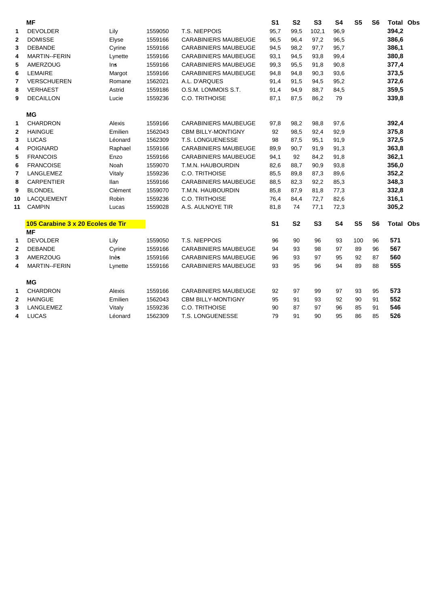|                | <b>MF</b>                         |         |         |                             | S <sub>1</sub> | S <sub>2</sub> | S <sub>3</sub> | S <sub>4</sub> | S <sub>5</sub> | S <sub>6</sub> | <b>Total Obs</b> |  |
|----------------|-----------------------------------|---------|---------|-----------------------------|----------------|----------------|----------------|----------------|----------------|----------------|------------------|--|
| 1              | <b>DEVOLDER</b>                   | Lily    | 1559050 | T.S. NIEPPOIS               | 95,7           | 99,5           | 102,1          | 96,9           |                |                | 394,2            |  |
| $\mathbf{2}$   | <b>DOMISSE</b>                    | Elyse   | 1559166 | <b>CARABINIERS MAUBEUGE</b> | 96,5           | 96,4           | 97,2           | 96,5           |                |                | 386,6            |  |
| 3              | <b>DEBANDE</b>                    | Cyrine  | 1559166 | <b>CARABINIERS MAUBEUGE</b> | 94,5           | 98,2           | 97,7           | 95,7           |                |                | 386,1            |  |
| 4              | <b>MARTIN--FERIN</b>              | Lynette | 1559166 | <b>CARABINIERS MAUBEUGE</b> | 93,1           | 94,5           | 93,8           | 99,4           |                |                | 380,8            |  |
| 5              | AMERZOUG                          | Ins     | 1559166 | <b>CARABINIERS MAUBEUGE</b> | 99,3           | 95,5           | 91,8           | 90,8           |                |                | 377,4            |  |
| 6              | <b>LEMAIRE</b>                    | Margot  | 1559166 | <b>CARABINIERS MAUBEUGE</b> | 94,8           | 94,8           | 90,3           | 93,6           |                |                | 373,5            |  |
| $\overline{7}$ | <b>VERSCHUEREN</b>                | Romane  | 1562021 | A.L. D'ARQUES               | 91,4           | 91,5           | 94,5           | 95,2           |                |                | 372,6            |  |
| 8              | <b>VERHAEST</b>                   | Astrid  | 1559186 | O.S.M. LOMMOIS S.T.         | 91,4           | 94,9           | 88,7           | 84,5           |                |                | 359,5            |  |
| 9              | <b>DECAILLON</b>                  | Lucie   | 1559236 | C.O. TRITHOISE              | 87,1           | 87,5           | 86,2           | 79             |                |                | 339,8            |  |
|                | MG                                |         |         |                             |                |                |                |                |                |                |                  |  |
| 1              | <b>CHARDRON</b>                   | Alexis  | 1559166 | <b>CARABINIERS MAUBEUGE</b> | 97,8           | 98,2           | 98,8           | 97,6           |                |                | 392,4            |  |
| $\mathbf{2}$   | <b>HAINGUE</b>                    | Emilien | 1562043 | <b>CBM BILLY-MONTIGNY</b>   | 92             | 98,5           | 92,4           | 92,9           |                |                | 375,8            |  |
| 3              | <b>LUCAS</b>                      | Léonard | 1562309 | T.S. LONGUENESSE            | 98             | 87,5           | 95,1           | 91,9           |                |                | 372,5            |  |
| 4              | <b>POIGNARD</b>                   | Raphael | 1559166 | <b>CARABINIERS MAUBEUGE</b> | 89,9           | 90,7           | 91,9           | 91,3           |                |                | 363,8            |  |
| 5              | <b>FRANCOIS</b>                   | Enzo    | 1559166 | <b>CARABINIERS MAUBEUGE</b> | 94,1           | 92             | 84,2           | 91,8           |                |                | 362,1            |  |
| 6              | <b>FRANCOISE</b>                  | Noah    | 1559070 | T.M.N. HAUBOURDIN           | 82,6           | 88,7           | 90,9           | 93,8           |                |                | 356,0            |  |
| 7              | LANGLEMEZ                         | Vitaly  | 1559236 | C.O. TRITHOISE              | 85,5           | 89,8           | 87,3           | 89,6           |                |                | 352,2            |  |
| 8              | <b>CARPENTIER</b>                 | llan    | 1559166 | <b>CARABINIERS MAUBEUGE</b> | 88,5           | 82,3           | 92,2           | 85,3           |                |                | 348,3            |  |
| 9              | <b>BLONDEL</b>                    | Clément | 1559070 | T.M.N. HAUBOURDIN           | 85,8           | 87,9           | 81,8           | 77,3           |                |                | 332,8            |  |
| 10             | LACQUEMENT                        | Robin   | 1559236 | C.O. TRITHOISE              | 76,4           | 84,4           | 72,7           | 82,6           |                |                | 316,1            |  |
| 11             | <b>CAMPIN</b>                     | Lucas   | 1559028 | A.S. AULNOYE TIR            | 81,8           | 74             | 77,1           | 72,3           |                |                | 305,2            |  |
|                | 105 Carabine 3 x 20 Ecoles de Tir |         |         |                             | S <sub>1</sub> | S <sub>2</sub> | S <sub>3</sub> | <b>S4</b>      | S <sub>5</sub> | S <sub>6</sub> | <b>Total Obs</b> |  |
|                | <b>MF</b>                         |         |         |                             |                |                |                |                |                |                |                  |  |
| 1              | <b>DEVOLDER</b>                   | Lily    | 1559050 | T.S. NIEPPOIS               | 96             | 90             | 96             | 93             | 100            | 96             | 571              |  |
| $\mathbf{2}$   | <b>DEBANDE</b>                    | Cyrine  | 1559166 | <b>CARABINIERS MAUBEUGE</b> | 94             | 93             | 98             | 97             | 89             | 96             | 567              |  |
| 3              | AMERZOUG                          | Inès    | 1559166 | <b>CARABINIERS MAUBEUGE</b> | 96             | 93             | 97             | 95             | 92             | 87             | 560              |  |
| 4              | <b>MARTIN--FERIN</b>              | Lynette | 1559166 | <b>CARABINIERS MAUBEUGE</b> | 93             | 95             | 96             | 94             | 89             | 88             | 555              |  |
|                | <b>MG</b>                         |         |         |                             |                |                |                |                |                |                |                  |  |
| 1              | <b>CHARDRON</b>                   | Alexis  | 1559166 | <b>CARABINIERS MAUBEUGE</b> | 92             | 97             | 99             | 97             | 93             | 95             | 573              |  |
| $\mathbf{2}$   | <b>HAINGUE</b>                    | Emilien | 1562043 | <b>CBM BILLY-MONTIGNY</b>   | 95             | 91             | 93             | 92             | 90             | 91             | 552              |  |
| 3              | LANGLEMEZ                         | Vitaly  | 1559236 | C.O. TRITHOISE              | 90             | 87             | 97             | 96             | 85             | 91             | 546              |  |
| 4              | <b>LUCAS</b>                      | Léonard | 1562309 | T.S. LONGUENESSE            | 79             | 91             | 90             | 95             | 86             | 85             | 526              |  |